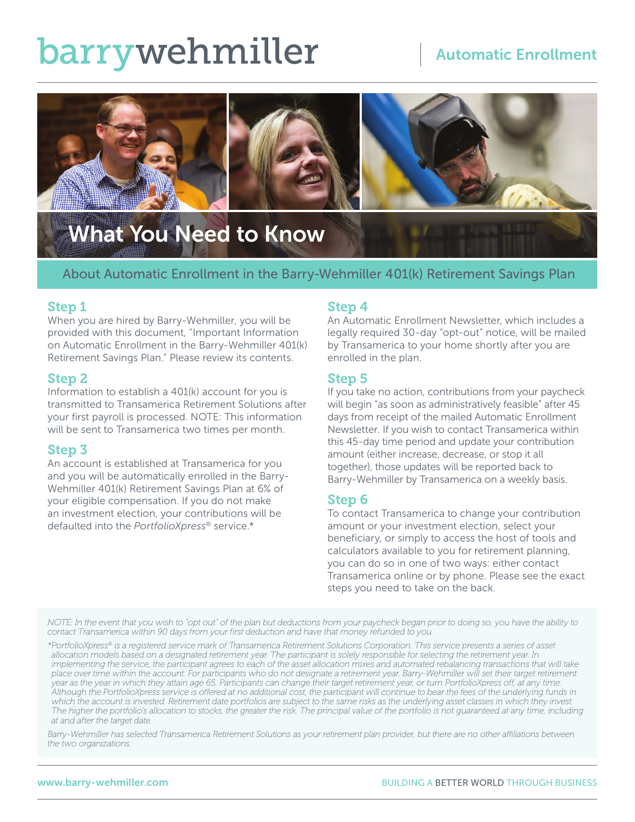# barrywehmiller

# Automatic Enrollment



# About Automatic Enrollment in the Barry-Wehmiller 401(k) Retirement Savings Plan

# Step 1

When you are hired by Barry-Wehmiller, you will be provided with this document, "Important Information on Automatic Enrollment in the Barry-Wehmiller 401(k) Retirement Savings Plan." Please review its contents.

# Step 2

Information to establish a 401(k) account for you is transmitted to Transamerica Retirement Solutions after your first payroll is processed. NOTE: This information will be sent to Transamerica two times per month.

### Step 3

An account is established at Transamerica for you and you will be automatically enrolled in the Barry-Wehmiller 401(k) Retirement Savings Plan at 6% of your eligible compensation. If you do not make an investment election, your contributions will be defaulted into the *PortfolioXpress*® service.\*

#### Step 4

An Automatic Enrollment Newsletter, which includes a legally required 30-day "opt-out" notice, will be mailed by Transamerica to your home shortly after you are enrolled in the plan.

## Step 5

If you take no action, contributions from your paycheck will begin "as soon as administratively feasible" after 45 days from receipt of the mailed Automatic Enrollment Newsletter. If you wish to contact Transamerica within this 45-day time period and update your contribution amount (either increase, decrease, or stop it all together), those updates will be reported back to Barry-Wehmiller by Transamerica on a weekly basis.

### Step 6

To contact Transamerica to change your contribution amount or your investment election, select your beneficiary, or simply to access the host of tools and calculators available to you for retirement planning, you can do so in one of two ways: either contact Transamerica online or by phone. Please see the exact steps you need to take on the back.

*NOTE: In the event that you wish to "opt out" of the plan but deductions from your paycheck began prior to doing so, you have the ability to contact Transamerica within 90 days from your first deduction and have that money refunded to you.*

*\*PortfolioXpress® is a registered service mark of Transamerica Retirement Solutions Corporation. This service presents a series of asset allocation models based on a designated retirement year. The participant is solely responsible for selecting the retirement year. In implementing the service, the participant agrees to each of the asset allocation mixes and automated rebalancing transactions that will take place over time within the account. For participants who do not designate a retirement year, Barry-Wehmiller will set their target retirement year as the year in which they attain age 65. Participants can change their target retirement year, or turn PortfolioXpress off, at any time. Although the PortfolioXpress service is offered at no additional cost, the participant will continue to bear the fees of the underlying funds in*  which the account is invested. Retirement date portfolios are subject to the same risks as the underlying asset classes in which they invest. *The higher the portfolio's allocation to stocks, the greater the risk. The principal value of the portfolio is not guaranteed at any time, including at and after the target date.*

Barry-Wehmiller has selected Transamerica Retirement Solutions as your retirement plan provider, but there are no other affiliations between *the two organizations.*